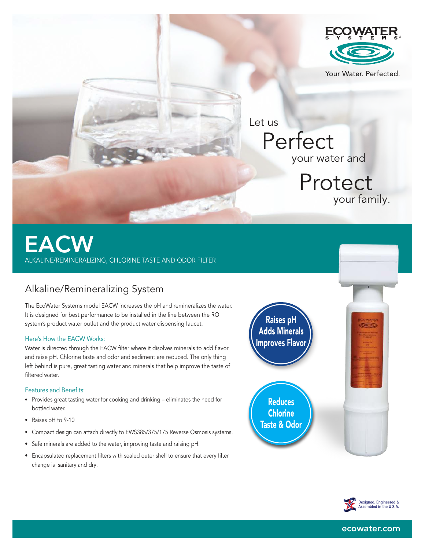

# EACW ALKALINE/REMINERALIZING, CHLORINE TASTE AND ODOR FILTER

# Alkaline/Remineralizing System

The EcoWater Systems model EACW increases the pH and remineralizes the water. It is designed for best performance to be installed in the line between the RO system's product water outlet and the product water dispensing faucet.

### Here's How the EACW Works:

Water is directed through the EACW filter where it disolves minerals to add flavor and raise pH. Chlorine taste and odor and sediment are reduced. The only thing left behind is pure, great tasting water and minerals that help improve the taste of filtered water.

### Features and Benefits:

- Provides great tasting water for cooking and drinking eliminates the need for bottled water.
- Raises pH to 9-10
- Compact design can attach directly to EWS385/375/175 Reverse Osmosis systems.
- Safe minerals are added to the water, improving taste and raising pH.
- Encapsulated replacement filters with sealed outer shell to ensure that every filter change is sanitary and dry.

Raises pH Adds Minerals Improves Flavor

**Reduces Chlorine** Taste & Odor



ecowater.com